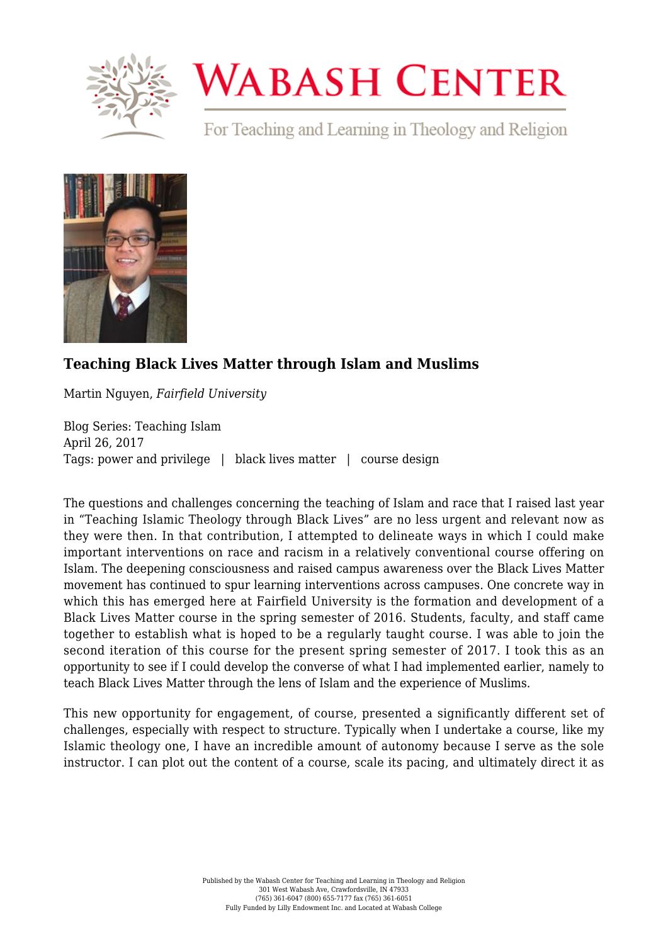

## **WABASH CENTER**

For Teaching and Learning in Theology and Religion



## **[Teaching Black Lives Matter through Islam and Muslims](https://www.wabashcenter.wabash.edu/2017/04/teaching-black-lives-matter-through-islam-and-muslims/)**

Martin Nguyen, *Fairfield University*

Blog Series: Teaching Islam April 26, 2017 Tags: power and privilege | black lives matter | course design

The questions and challenges concerning the teaching of Islam and race that I raised last year in "Teaching Islamic Theology through Black Lives" are no less urgent and relevant now as they were then. In that contribution, I attempted to delineate ways in which I could make important interventions on race and racism in a relatively conventional course offering on Islam. The deepening consciousness and raised campus awareness over the Black Lives Matter movement has continued to spur learning interventions across campuses. One concrete way in which this has emerged here at Fairfield University is the formation and development of a Black Lives Matter course in the spring semester of 2016. Students, faculty, and staff came together to establish what is hoped to be a regularly taught course. I was able to join the second iteration of this course for the present spring semester of 2017. I took this as an opportunity to see if I could develop the converse of what I had implemented earlier, namely to teach Black Lives Matter through the lens of Islam and the experience of Muslims.

This new opportunity for engagement, of course, presented a significantly different set of challenges, especially with respect to structure. Typically when I undertake a course, like my Islamic theology one, I have an incredible amount of autonomy because I serve as the sole instructor. I can plot out the content of a course, scale its pacing, and ultimately direct it as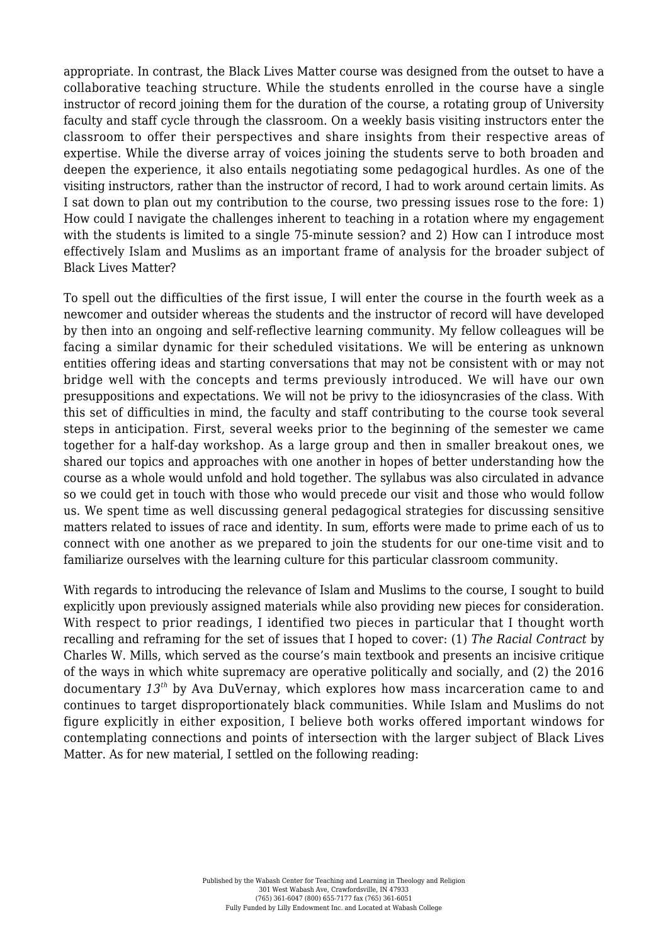appropriate. In contrast, the Black Lives Matter course was designed from the outset to have a collaborative teaching structure. While the students enrolled in the course have a single instructor of record joining them for the duration of the course, a rotating group of University faculty and staff cycle through the classroom. On a weekly basis visiting instructors enter the classroom to offer their perspectives and share insights from their respective areas of expertise. While the diverse array of voices joining the students serve to both broaden and deepen the experience, it also entails negotiating some pedagogical hurdles. As one of the visiting instructors, rather than the instructor of record, I had to work around certain limits. As I sat down to plan out my contribution to the course, two pressing issues rose to the fore: 1) How could I navigate the challenges inherent to teaching in a rotation where my engagement with the students is limited to a single 75-minute session? and 2) How can I introduce most effectively Islam and Muslims as an important frame of analysis for the broader subject of Black Lives Matter?

To spell out the difficulties of the first issue, I will enter the course in the fourth week as a newcomer and outsider whereas the students and the instructor of record will have developed by then into an ongoing and self-reflective learning community. My fellow colleagues will be facing a similar dynamic for their scheduled visitations. We will be entering as unknown entities offering ideas and starting conversations that may not be consistent with or may not bridge well with the concepts and terms previously introduced. We will have our own presuppositions and expectations. We will not be privy to the idiosyncrasies of the class. With this set of difficulties in mind, the faculty and staff contributing to the course took several steps in anticipation. First, several weeks prior to the beginning of the semester we came together for a half-day workshop. As a large group and then in smaller breakout ones, we shared our topics and approaches with one another in hopes of better understanding how the course as a whole would unfold and hold together. The syllabus was also circulated in advance so we could get in touch with those who would precede our visit and those who would follow us. We spent time as well discussing general pedagogical strategies for discussing sensitive matters related to issues of race and identity. In sum, efforts were made to prime each of us to connect with one another as we prepared to join the students for our one-time visit and to familiarize ourselves with the learning culture for this particular classroom community.

With regards to introducing the relevance of Islam and Muslims to the course, I sought to build explicitly upon previously assigned materials while also providing new pieces for consideration. With respect to prior readings, I identified two pieces in particular that I thought worth recalling and reframing for the set of issues that I hoped to cover: (1) *The Racial Contract* by Charles W. Mills, which served as the course's main textbook and presents an incisive critique of the ways in which white supremacy are operative politically and socially, and (2) the 2016 documentary *13th* by Ava DuVernay, which explores how mass incarceration came to and continues to target disproportionately black communities. While Islam and Muslims do not figure explicitly in either exposition, I believe both works offered important windows for contemplating connections and points of intersection with the larger subject of Black Lives Matter. As for new material, I settled on the following reading: